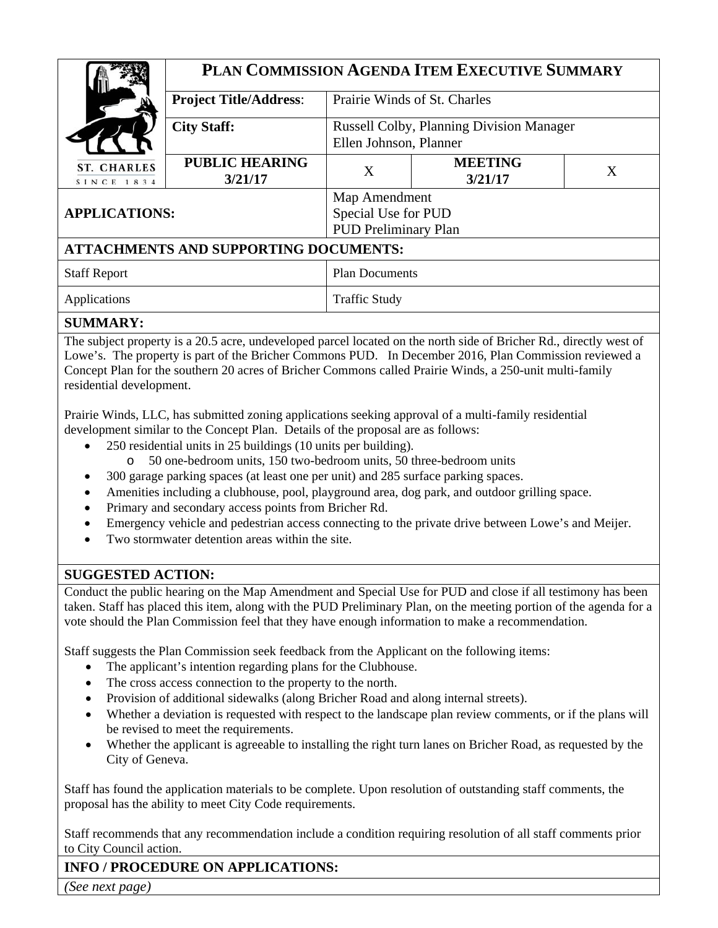|                                              | PLAN COMMISSION AGENDA ITEM EXECUTIVE SUMMARY |                                                 |                           |   |
|----------------------------------------------|-----------------------------------------------|-------------------------------------------------|---------------------------|---|
|                                              | <b>Project Title/Address:</b>                 | Prairie Winds of St. Charles                    |                           |   |
|                                              | <b>City Staff:</b>                            | <b>Russell Colby, Planning Division Manager</b> |                           |   |
|                                              |                                               | Ellen Johnson, Planner                          |                           |   |
| <b>ST. CHARLES</b><br>SINCE 1834             | <b>PUBLIC HEARING</b><br>3/21/17              | X                                               | <b>MEETING</b><br>3/21/17 | X |
| <b>APPLICATIONS:</b>                         |                                               | Map Amendment                                   |                           |   |
|                                              |                                               | Special Use for PUD                             |                           |   |
|                                              |                                               | <b>PUD Preliminary Plan</b>                     |                           |   |
| <b>ATTACHMENTS AND SUPPORTING DOCUMENTS:</b> |                                               |                                                 |                           |   |
| <b>Staff Report</b>                          |                                               | <b>Plan Documents</b>                           |                           |   |
| Applications                                 |                                               | <b>Traffic Study</b>                            |                           |   |
| CIIMMADV.                                    |                                               |                                                 |                           |   |

#### **SUMMARY:**

The subject property is a 20.5 acre, undeveloped parcel located on the north side of Bricher Rd., directly west of Lowe's. The property is part of the Bricher Commons PUD. In December 2016, Plan Commission reviewed a Concept Plan for the southern 20 acres of Bricher Commons called Prairie Winds, a 250-unit multi-family residential development.

Prairie Winds, LLC, has submitted zoning applications seeking approval of a multi-family residential development similar to the Concept Plan. Details of the proposal are as follows:

- 250 residential units in 25 buildings (10 units per building).
	- o 50 one-bedroom units, 150 two-bedroom units, 50 three-bedroom units
	- 300 garage parking spaces (at least one per unit) and 285 surface parking spaces.
- Amenities including a clubhouse, pool, playground area, dog park, and outdoor grilling space.
- Primary and secondary access points from Bricher Rd.
- Emergency vehicle and pedestrian access connecting to the private drive between Lowe's and Meijer.
- Two stormwater detention areas within the site.

## **SUGGESTED ACTION:**

Conduct the public hearing on the Map Amendment and Special Use for PUD and close if all testimony has been taken. Staff has placed this item, along with the PUD Preliminary Plan, on the meeting portion of the agenda for a vote should the Plan Commission feel that they have enough information to make a recommendation.

Staff suggests the Plan Commission seek feedback from the Applicant on the following items:

- The applicant's intention regarding plans for the Clubhouse.
- The cross access connection to the property to the north.
- Provision of additional sidewalks (along Bricher Road and along internal streets).
- Whether a deviation is requested with respect to the landscape plan review comments, or if the plans will be revised to meet the requirements.
- Whether the applicant is agreeable to installing the right turn lanes on Bricher Road, as requested by the City of Geneva.

Staff has found the application materials to be complete. Upon resolution of outstanding staff comments, the proposal has the ability to meet City Code requirements.

Staff recommends that any recommendation include a condition requiring resolution of all staff comments prior to City Council action.

# **INFO / PROCEDURE ON APPLICATIONS:**

*(See next page)*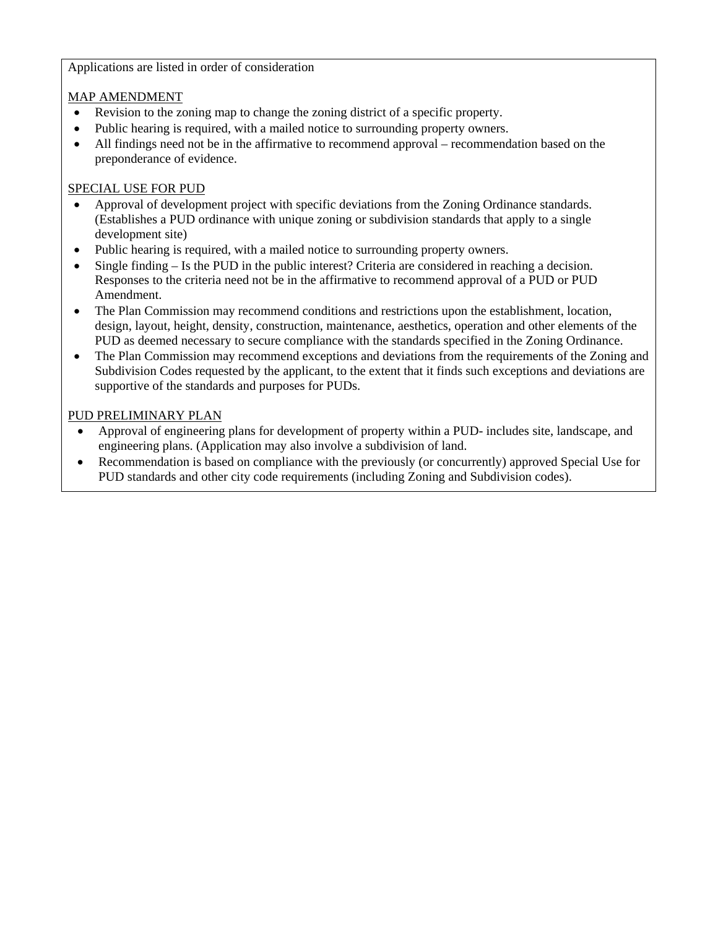#### Applications are listed in order of consideration

#### MAP AMENDMENT

- Revision to the zoning map to change the zoning district of a specific property.
- Public hearing is required, with a mailed notice to surrounding property owners.
- All findings need not be in the affirmative to recommend approval recommendation based on the preponderance of evidence.

#### SPECIAL USE FOR PUD

- Approval of development project with specific deviations from the Zoning Ordinance standards. (Establishes a PUD ordinance with unique zoning or subdivision standards that apply to a single development site)
- Public hearing is required, with a mailed notice to surrounding property owners.
- Single finding Is the PUD in the public interest? Criteria are considered in reaching a decision. Responses to the criteria need not be in the affirmative to recommend approval of a PUD or PUD Amendment.
- The Plan Commission may recommend conditions and restrictions upon the establishment, location, design, layout, height, density, construction, maintenance, aesthetics, operation and other elements of the PUD as deemed necessary to secure compliance with the standards specified in the Zoning Ordinance.
- The Plan Commission may recommend exceptions and deviations from the requirements of the Zoning and Subdivision Codes requested by the applicant, to the extent that it finds such exceptions and deviations are supportive of the standards and purposes for PUDs.

#### PUD PRELIMINARY PLAN

- Approval of engineering plans for development of property within a PUD- includes site, landscape, and engineering plans. (Application may also involve a subdivision of land.
- Recommendation is based on compliance with the previously (or concurrently) approved Special Use for PUD standards and other city code requirements (including Zoning and Subdivision codes).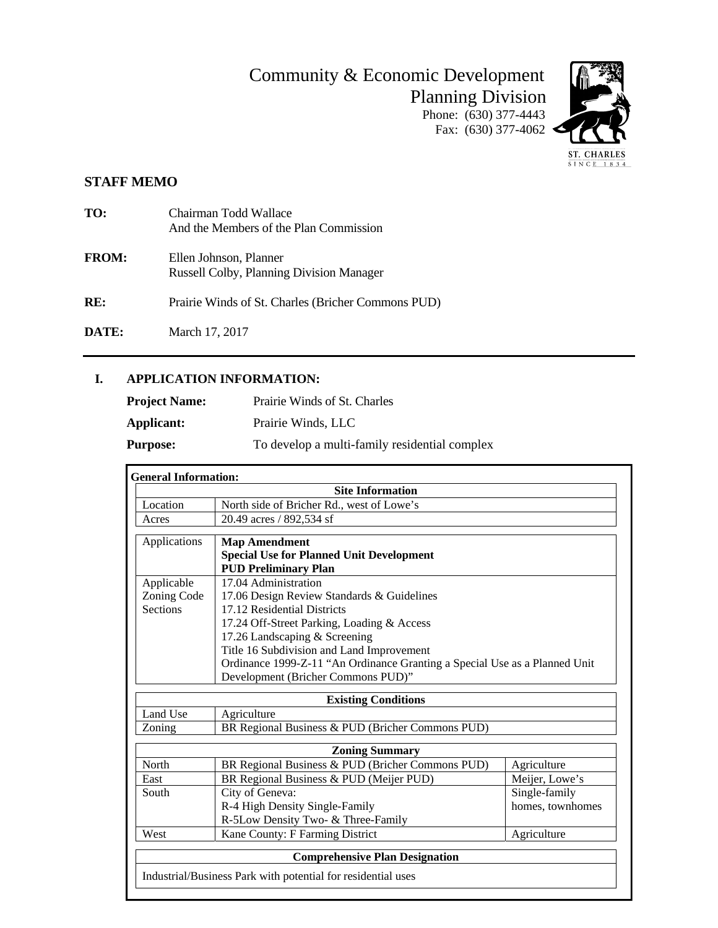# Community & Economic Development Planning Division

Phone: (630) 377-4443 Fax:  $(630)$  377-4062



## **STAFF MEMO**

| TO:          | Chairman Todd Wallace<br>And the Members of the Plan Commission           |
|--------------|---------------------------------------------------------------------------|
| <b>FROM:</b> | Ellen Johnson, Planner<br><b>Russell Colby, Planning Division Manager</b> |
| RE:          | Prairie Winds of St. Charles (Bricher Commons PUD)                        |

**DATE:** March 17, 2017

#### **I. APPLICATION INFORMATION:**

| <b>Project Name:</b> | Prairie Winds of St. Charles                  |
|----------------------|-----------------------------------------------|
| Applicant:           | Prairie Winds, LLC                            |
| <b>Purpose:</b>      | To develop a multi-family residential complex |

| <b>General Information:</b> |                                                                            |                  |  |
|-----------------------------|----------------------------------------------------------------------------|------------------|--|
| <b>Site Information</b>     |                                                                            |                  |  |
| Location                    | North side of Bricher Rd., west of Lowe's                                  |                  |  |
| Acres                       | 20.49 acres / 892,534 sf                                                   |                  |  |
| Applications                | <b>Map Amendment</b>                                                       |                  |  |
|                             | <b>Special Use for Planned Unit Development</b>                            |                  |  |
|                             | <b>PUD Preliminary Plan</b>                                                |                  |  |
| Applicable                  | 17.04 Administration                                                       |                  |  |
| Zoning Code                 | 17.06 Design Review Standards & Guidelines                                 |                  |  |
| <b>Sections</b>             | 17.12 Residential Districts                                                |                  |  |
|                             | 17.24 Off-Street Parking, Loading & Access                                 |                  |  |
|                             | 17.26 Landscaping & Screening                                              |                  |  |
|                             | Title 16 Subdivision and Land Improvement                                  |                  |  |
|                             | Ordinance 1999-Z-11 "An Ordinance Granting a Special Use as a Planned Unit |                  |  |
|                             | Development (Bricher Commons PUD)"                                         |                  |  |
|                             | <b>Existing Conditions</b>                                                 |                  |  |
| Land Use                    | Agriculture                                                                |                  |  |
| Zoning                      | BR Regional Business & PUD (Bricher Commons PUD)                           |                  |  |
|                             | <b>Zoning Summary</b>                                                      |                  |  |
| North                       | BR Regional Business & PUD (Bricher Commons PUD)                           | Agriculture      |  |
| East                        | BR Regional Business & PUD (Meijer PUD)                                    | Meijer, Lowe's   |  |
| South                       | City of Geneva:                                                            | Single-family    |  |
|                             | R-4 High Density Single-Family                                             | homes, townhomes |  |
|                             | R-5Low Density Two- & Three-Family                                         |                  |  |
| West                        | Kane County: F Farming District                                            | Agriculture      |  |
|                             | <b>Comprehensive Plan Designation</b>                                      |                  |  |
|                             | Industrial/Business Park with potential for residential uses               |                  |  |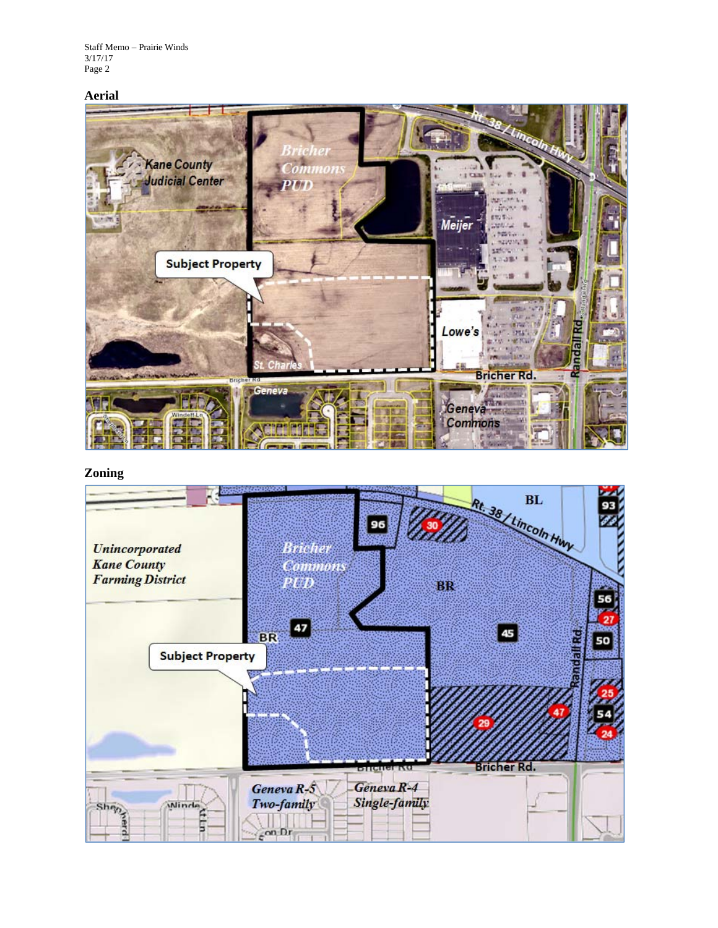Staff Memo – Prairie Winds 3/17/17 Page 2

#### **Aerial**



**Zoning** 

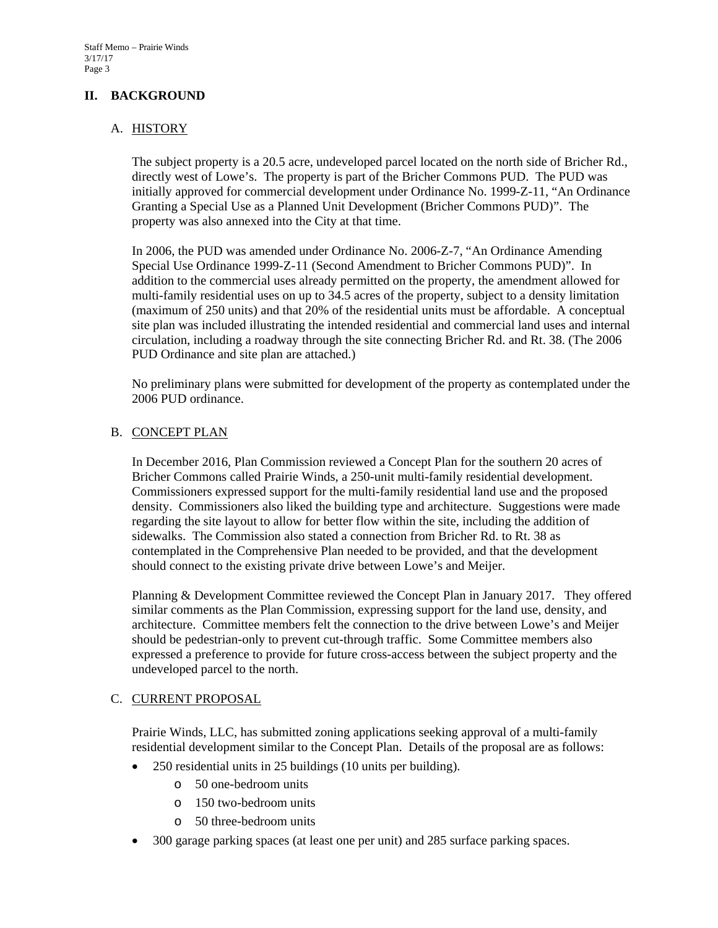#### **II. BACKGROUND**

#### A. HISTORY

The subject property is a 20.5 acre, undeveloped parcel located on the north side of Bricher Rd., directly west of Lowe's. The property is part of the Bricher Commons PUD. The PUD was initially approved for commercial development under Ordinance No. 1999-Z-11, "An Ordinance Granting a Special Use as a Planned Unit Development (Bricher Commons PUD)". The property was also annexed into the City at that time.

In 2006, the PUD was amended under Ordinance No. 2006-Z-7, "An Ordinance Amending Special Use Ordinance 1999-Z-11 (Second Amendment to Bricher Commons PUD)". In addition to the commercial uses already permitted on the property, the amendment allowed for multi-family residential uses on up to 34.5 acres of the property, subject to a density limitation (maximum of 250 units) and that 20% of the residential units must be affordable. A conceptual site plan was included illustrating the intended residential and commercial land uses and internal circulation, including a roadway through the site connecting Bricher Rd. and Rt. 38. (The 2006 PUD Ordinance and site plan are attached.)

No preliminary plans were submitted for development of the property as contemplated under the 2006 PUD ordinance.

#### B. CONCEPT PLAN

In December 2016, Plan Commission reviewed a Concept Plan for the southern 20 acres of Bricher Commons called Prairie Winds, a 250-unit multi-family residential development. Commissioners expressed support for the multi-family residential land use and the proposed density. Commissioners also liked the building type and architecture. Suggestions were made regarding the site layout to allow for better flow within the site, including the addition of sidewalks. The Commission also stated a connection from Bricher Rd. to Rt. 38 as contemplated in the Comprehensive Plan needed to be provided, and that the development should connect to the existing private drive between Lowe's and Meijer.

Planning & Development Committee reviewed the Concept Plan in January 2017. They offered similar comments as the Plan Commission, expressing support for the land use, density, and architecture. Committee members felt the connection to the drive between Lowe's and Meijer should be pedestrian-only to prevent cut-through traffic. Some Committee members also expressed a preference to provide for future cross-access between the subject property and the undeveloped parcel to the north.

#### C. CURRENT PROPOSAL

Prairie Winds, LLC, has submitted zoning applications seeking approval of a multi-family residential development similar to the Concept Plan. Details of the proposal are as follows:

- 250 residential units in 25 buildings (10 units per building).
	- o 50 one-bedroom units
	- o 150 two-bedroom units
	- o 50 three-bedroom units
- 300 garage parking spaces (at least one per unit) and 285 surface parking spaces.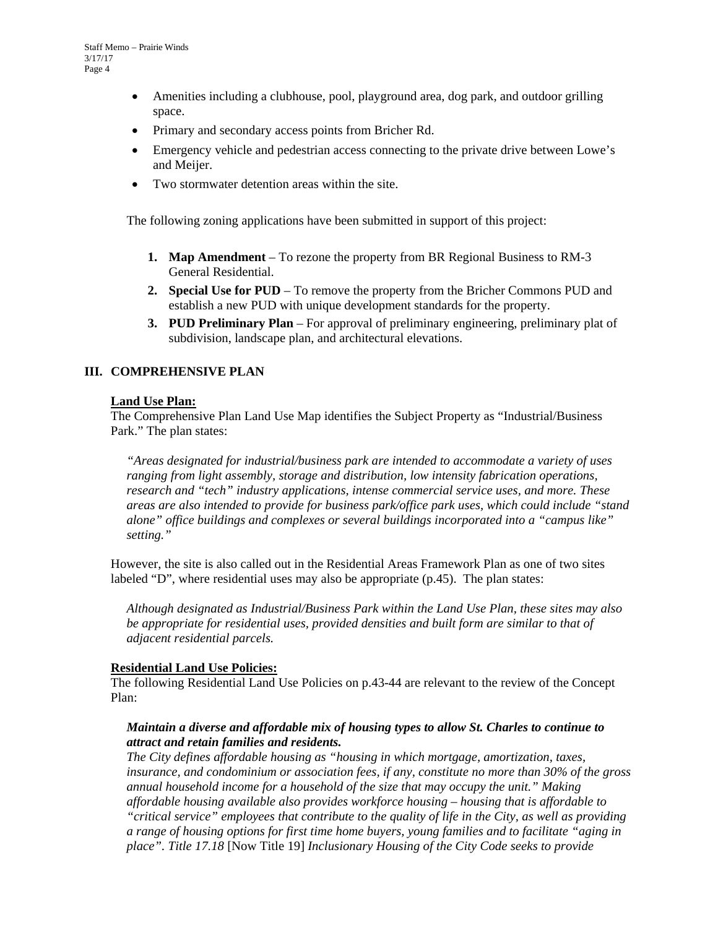- Amenities including a clubhouse, pool, playground area, dog park, and outdoor grilling space.
- Primary and secondary access points from Bricher Rd.
- Emergency vehicle and pedestrian access connecting to the private drive between Lowe's and Meijer.
- Two stormwater detention areas within the site.

The following zoning applications have been submitted in support of this project:

- **1. Map Amendment**  To rezone the property from BR Regional Business to RM-3 General Residential.
- **2. Special Use for PUD**  To remove the property from the Bricher Commons PUD and establish a new PUD with unique development standards for the property.
- **3. PUD Preliminary Plan**  For approval of preliminary engineering, preliminary plat of subdivision, landscape plan, and architectural elevations.

#### **III. COMPREHENSIVE PLAN**

#### **Land Use Plan:**

The Comprehensive Plan Land Use Map identifies the Subject Property as "Industrial/Business Park." The plan states:

*"Areas designated for industrial/business park are intended to accommodate a variety of uses ranging from light assembly, storage and distribution, low intensity fabrication operations, research and "tech" industry applications, intense commercial service uses, and more. These areas are also intended to provide for business park/office park uses, which could include "stand alone" office buildings and complexes or several buildings incorporated into a "campus like" setting."* 

However, the site is also called out in the Residential Areas Framework Plan as one of two sites labeled "D", where residential uses may also be appropriate (p.45). The plan states:

*Although designated as Industrial/Business Park within the Land Use Plan, these sites may also be appropriate for residential uses, provided densities and built form are similar to that of adjacent residential parcels.* 

#### **Residential Land Use Policies:**

The following Residential Land Use Policies on p.43-44 are relevant to the review of the Concept Plan:

#### *Maintain a diverse and affordable mix of housing types to allow St. Charles to continue to attract and retain families and residents.*

*The City defines affordable housing as "housing in which mortgage, amortization, taxes, insurance, and condominium or association fees, if any, constitute no more than 30% of the gross annual household income for a household of the size that may occupy the unit." Making affordable housing available also provides workforce housing – housing that is affordable to "critical service" employees that contribute to the quality of life in the City, as well as providing a range of housing options for first time home buyers, young families and to facilitate "aging in place". Title 17.18* [Now Title 19] *Inclusionary Housing of the City Code seeks to provide*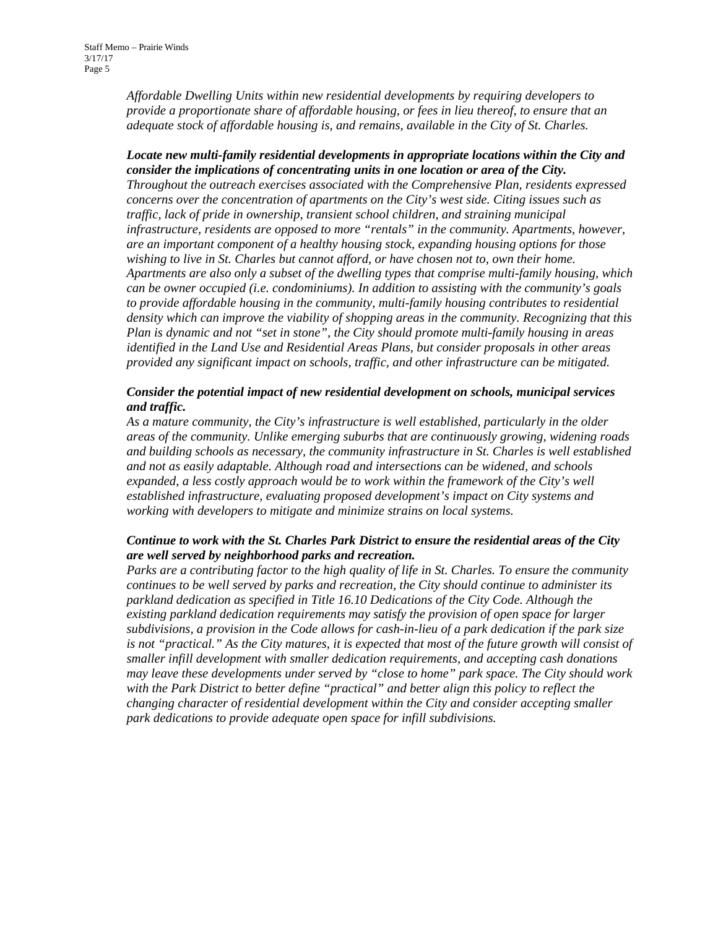*Affordable Dwelling Units within new residential developments by requiring developers to provide a proportionate share of affordable housing, or fees in lieu thereof, to ensure that an adequate stock of affordable housing is, and remains, available in the City of St. Charles.* 

#### *Locate new multi-family residential developments in appropriate locations within the City and consider the implications of concentrating units in one location or area of the City.*

*Throughout the outreach exercises associated with the Comprehensive Plan, residents expressed concerns over the concentration of apartments on the City's west side. Citing issues such as traffic, lack of pride in ownership, transient school children, and straining municipal infrastructure, residents are opposed to more "rentals" in the community. Apartments, however, are an important component of a healthy housing stock, expanding housing options for those wishing to live in St. Charles but cannot afford, or have chosen not to, own their home. Apartments are also only a subset of the dwelling types that comprise multi-family housing, which can be owner occupied (i.e. condominiums). In addition to assisting with the community's goals to provide affordable housing in the community, multi-family housing contributes to residential density which can improve the viability of shopping areas in the community. Recognizing that this Plan is dynamic and not "set in stone", the City should promote multi-family housing in areas identified in the Land Use and Residential Areas Plans, but consider proposals in other areas provided any significant impact on schools, traffic, and other infrastructure can be mitigated.* 

#### *Consider the potential impact of new residential development on schools, municipal services and traffic.*

*As a mature community, the City's infrastructure is well established, particularly in the older areas of the community. Unlike emerging suburbs that are continuously growing, widening roads and building schools as necessary, the community infrastructure in St. Charles is well established and not as easily adaptable. Although road and intersections can be widened, and schools expanded, a less costly approach would be to work within the framework of the City's well established infrastructure, evaluating proposed development's impact on City systems and working with developers to mitigate and minimize strains on local systems.* 

#### *Continue to work with the St. Charles Park District to ensure the residential areas of the City are well served by neighborhood parks and recreation.*

*Parks are a contributing factor to the high quality of life in St. Charles. To ensure the community continues to be well served by parks and recreation, the City should continue to administer its parkland dedication as specified in Title 16.10 Dedications of the City Code. Although the existing parkland dedication requirements may satisfy the provision of open space for larger subdivisions, a provision in the Code allows for cash-in-lieu of a park dedication if the park size*  is not "practical." As the City matures, it is expected that most of the future growth will consist of *smaller infill development with smaller dedication requirements, and accepting cash donations may leave these developments under served by "close to home" park space. The City should work with the Park District to better define "practical" and better align this policy to reflect the changing character of residential development within the City and consider accepting smaller park dedications to provide adequate open space for infill subdivisions.*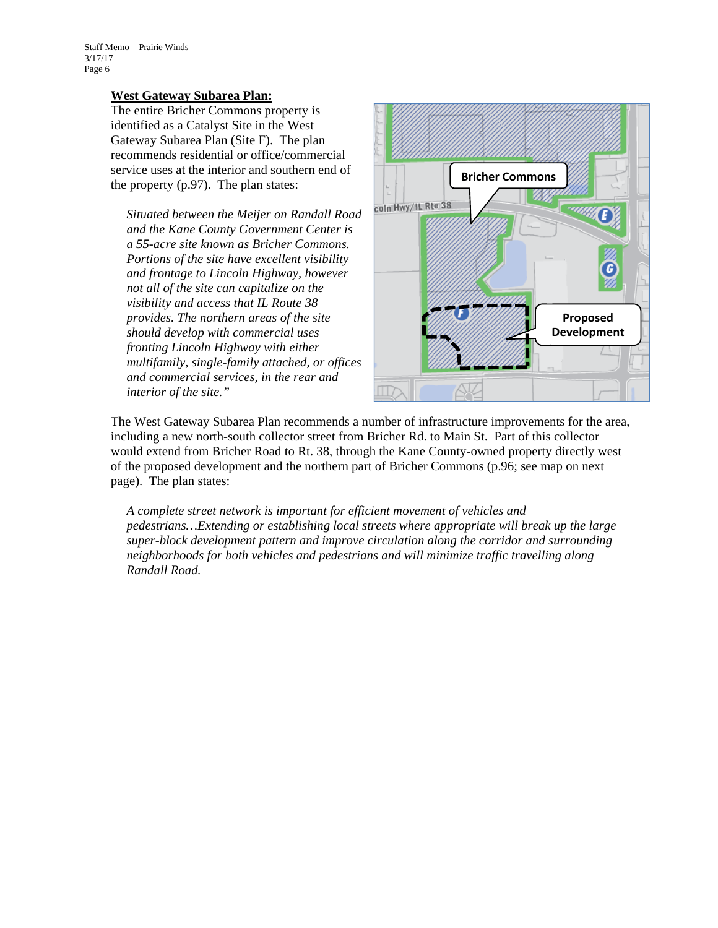#### **West Gateway Subarea Plan:**

The entire Bricher Commons property is identified as a Catalyst Site in the West Gateway Subarea Plan (Site F). The plan recommends residential or office/commercial service uses at the interior and southern end of the property (p.97). The plan states:

*Situated between the Meijer on Randall Road and the Kane County Government Center is a 55-acre site known as Bricher Commons. Portions of the site have excellent visibility and frontage to Lincoln Highway, however not all of the site can capitalize on the visibility and access that IL Route 38 provides. The northern areas of the site should develop with commercial uses fronting Lincoln Highway with either multifamily, single-family attached, or offices and commercial services, in the rear and interior of the site."* 



The West Gateway Subarea Plan recommends a number of infrastructure improvements for the area, including a new north-south collector street from Bricher Rd. to Main St. Part of this collector would extend from Bricher Road to Rt. 38, through the Kane County-owned property directly west of the proposed development and the northern part of Bricher Commons (p.96; see map on next page). The plan states:

*A complete street network is important for efficient movement of vehicles and pedestrians…Extending or establishing local streets where appropriate will break up the large super-block development pattern and improve circulation along the corridor and surrounding neighborhoods for both vehicles and pedestrians and will minimize traffic travelling along Randall Road.*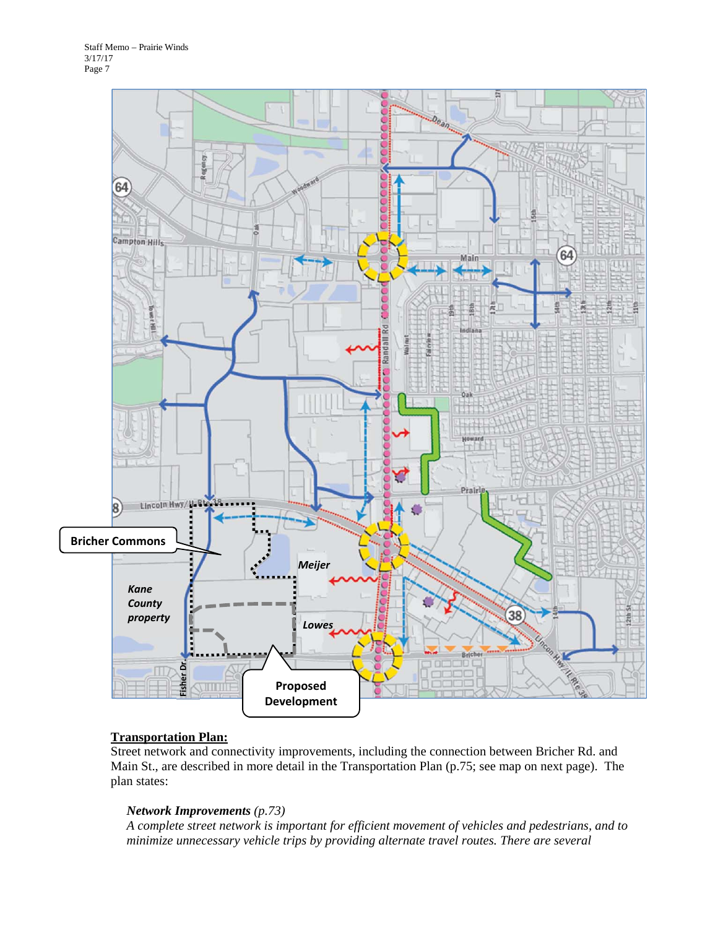

#### **Transportation Plan:**

Street network and connectivity improvements, including the connection between Bricher Rd. and Main St., are described in more detail in the Transportation Plan (p.75; see map on next page). The plan states:

#### *Network Improvements (p.73)*

*A complete street network is important for efficient movement of vehicles and pedestrians, and to minimize unnecessary vehicle trips by providing alternate travel routes. There are several*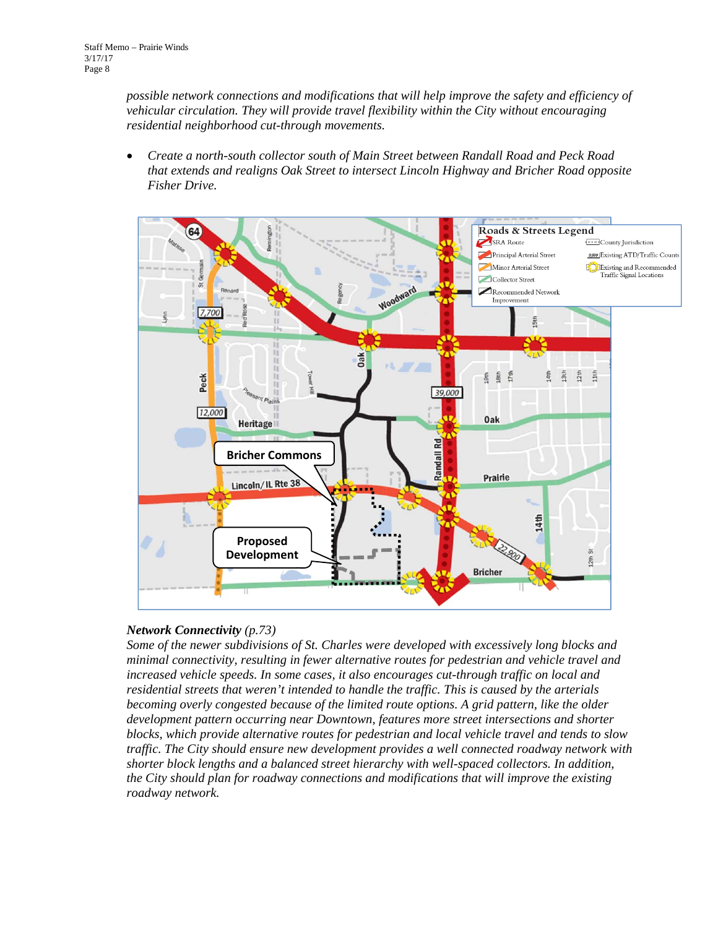*possible network connections and modifications that will help improve the safety and efficiency of vehicular circulation. They will provide travel flexibility within the City without encouraging residential neighborhood cut-through movements.* 

 *Create a north-south collector south of Main Street between Randall Road and Peck Road that extends and realigns Oak Street to intersect Lincoln Highway and Bricher Road opposite Fisher Drive.* 



#### *Network Connectivity (p.73)*

*Some of the newer subdivisions of St. Charles were developed with excessively long blocks and minimal connectivity, resulting in fewer alternative routes for pedestrian and vehicle travel and increased vehicle speeds. In some cases, it also encourages cut-through traffic on local and residential streets that weren't intended to handle the traffic. This is caused by the arterials becoming overly congested because of the limited route options. A grid pattern, like the older development pattern occurring near Downtown, features more street intersections and shorter blocks, which provide alternative routes for pedestrian and local vehicle travel and tends to slow traffic. The City should ensure new development provides a well connected roadway network with shorter block lengths and a balanced street hierarchy with well-spaced collectors. In addition, the City should plan for roadway connections and modifications that will improve the existing roadway network.*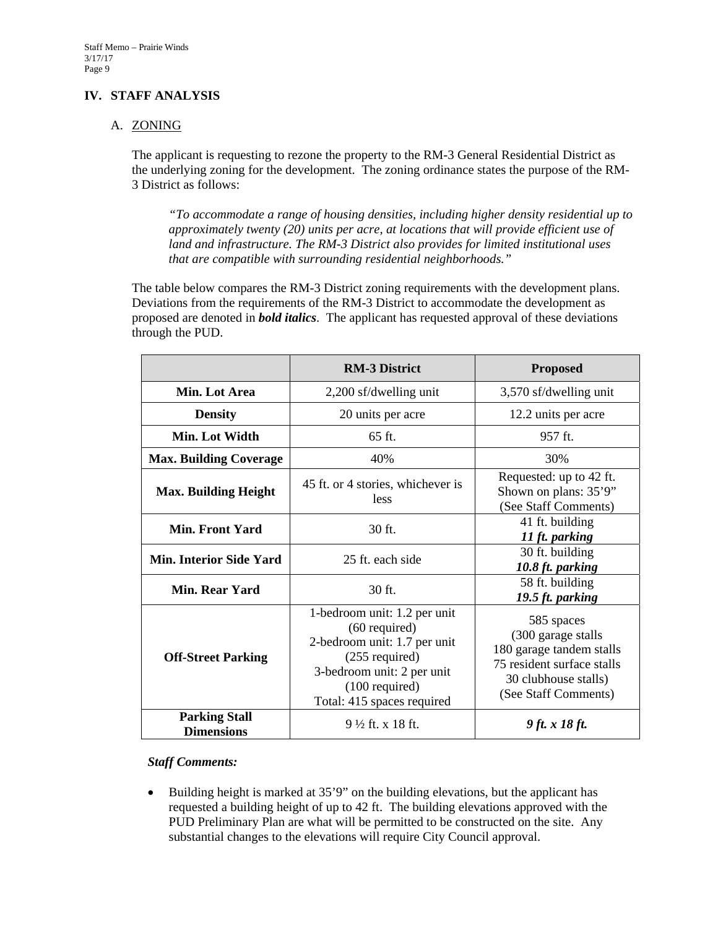#### **IV. STAFF ANALYSIS**

#### A. ZONING

The applicant is requesting to rezone the property to the RM-3 General Residential District as the underlying zoning for the development. The zoning ordinance states the purpose of the RM-3 District as follows:

*"To accommodate a range of housing densities, including higher density residential up to approximately twenty (20) units per acre, at locations that will provide efficient use of land and infrastructure. The RM-3 District also provides for limited institutional uses that are compatible with surrounding residential neighborhoods."* 

The table below compares the RM-3 District zoning requirements with the development plans. Deviations from the requirements of the RM-3 District to accommodate the development as proposed are denoted in *bold italics*. The applicant has requested approval of these deviations through the PUD.

|                                           | <b>RM-3 District</b>                                                                                                                                                                | <b>Proposed</b>                                                                                                                             |
|-------------------------------------------|-------------------------------------------------------------------------------------------------------------------------------------------------------------------------------------|---------------------------------------------------------------------------------------------------------------------------------------------|
| Min. Lot Area                             | 2,200 sf/dwelling unit                                                                                                                                                              | 3,570 sf/dwelling unit                                                                                                                      |
| <b>Density</b>                            | 20 units per acre                                                                                                                                                                   | 12.2 units per acre                                                                                                                         |
| Min. Lot Width                            | 65 ft.                                                                                                                                                                              | 957 ft.                                                                                                                                     |
| <b>Max. Building Coverage</b>             | 40%                                                                                                                                                                                 | 30%                                                                                                                                         |
| <b>Max. Building Height</b>               | 45 ft. or 4 stories, whichever is<br>less                                                                                                                                           | Requested: up to 42 ft.<br>Shown on plans: 35'9"<br>(See Staff Comments)                                                                    |
| Min. Front Yard                           | 30 ft.                                                                                                                                                                              | 41 ft. building<br>11 ft. parking                                                                                                           |
| <b>Min. Interior Side Yard</b>            | 25 ft. each side                                                                                                                                                                    | 30 ft. building<br>10.8 ft. parking                                                                                                         |
| Min. Rear Yard                            | 30 ft.                                                                                                                                                                              | 58 ft. building<br>19.5 ft. parking                                                                                                         |
| <b>Off-Street Parking</b>                 | 1-bedroom unit: 1.2 per unit<br>$(60$ required)<br>2-bedroom unit: 1.7 per unit<br>$(255$ required)<br>3-bedroom unit: 2 per unit<br>$(100$ required)<br>Total: 415 spaces required | 585 spaces<br>(300 garage stalls)<br>180 garage tandem stalls<br>75 resident surface stalls<br>30 clubhouse stalls)<br>(See Staff Comments) |
| <b>Parking Stall</b><br><b>Dimensions</b> | $9\frac{1}{2}$ ft. x 18 ft.                                                                                                                                                         | 9 ft. x 18 ft.                                                                                                                              |

#### *Staff Comments:*

• Building height is marked at 35'9" on the building elevations, but the applicant has requested a building height of up to 42 ft. The building elevations approved with the PUD Preliminary Plan are what will be permitted to be constructed on the site. Any substantial changes to the elevations will require City Council approval.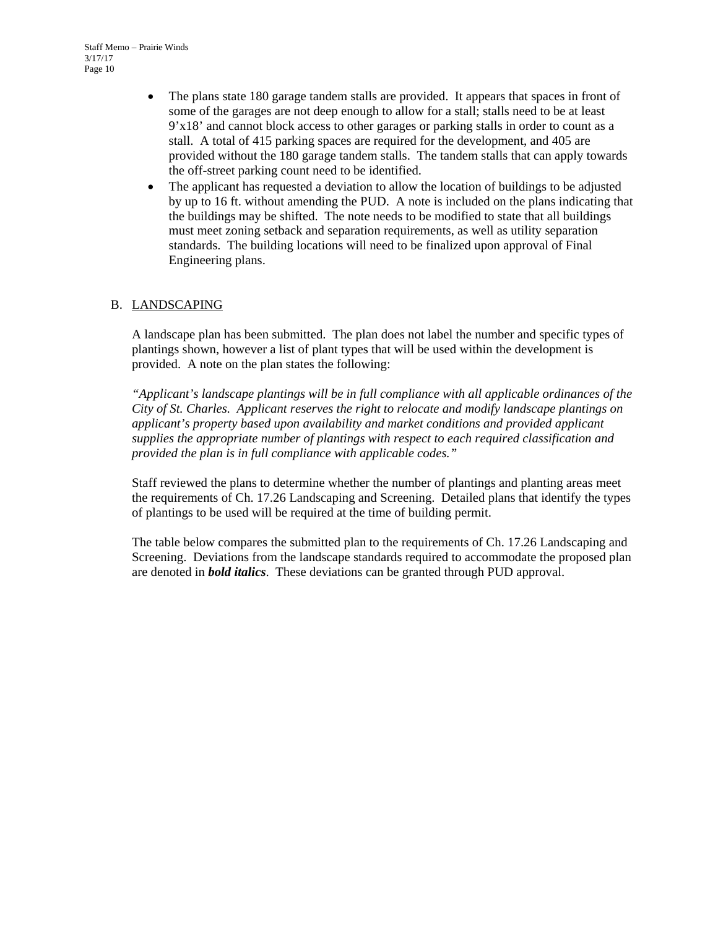- The plans state 180 garage tandem stalls are provided. It appears that spaces in front of some of the garages are not deep enough to allow for a stall; stalls need to be at least 9'x18' and cannot block access to other garages or parking stalls in order to count as a stall. A total of 415 parking spaces are required for the development, and 405 are provided without the 180 garage tandem stalls. The tandem stalls that can apply towards the off-street parking count need to be identified.
- The applicant has requested a deviation to allow the location of buildings to be adjusted by up to 16 ft. without amending the PUD. A note is included on the plans indicating that the buildings may be shifted. The note needs to be modified to state that all buildings must meet zoning setback and separation requirements, as well as utility separation standards. The building locations will need to be finalized upon approval of Final Engineering plans.

#### B. LANDSCAPING

A landscape plan has been submitted. The plan does not label the number and specific types of plantings shown, however a list of plant types that will be used within the development is provided. A note on the plan states the following:

*"Applicant's landscape plantings will be in full compliance with all applicable ordinances of the City of St. Charles. Applicant reserves the right to relocate and modify landscape plantings on applicant's property based upon availability and market conditions and provided applicant supplies the appropriate number of plantings with respect to each required classification and provided the plan is in full compliance with applicable codes."* 

Staff reviewed the plans to determine whether the number of plantings and planting areas meet the requirements of Ch. 17.26 Landscaping and Screening. Detailed plans that identify the types of plantings to be used will be required at the time of building permit.

The table below compares the submitted plan to the requirements of Ch. 17.26 Landscaping and Screening. Deviations from the landscape standards required to accommodate the proposed plan are denoted in *bold italics*. These deviations can be granted through PUD approval.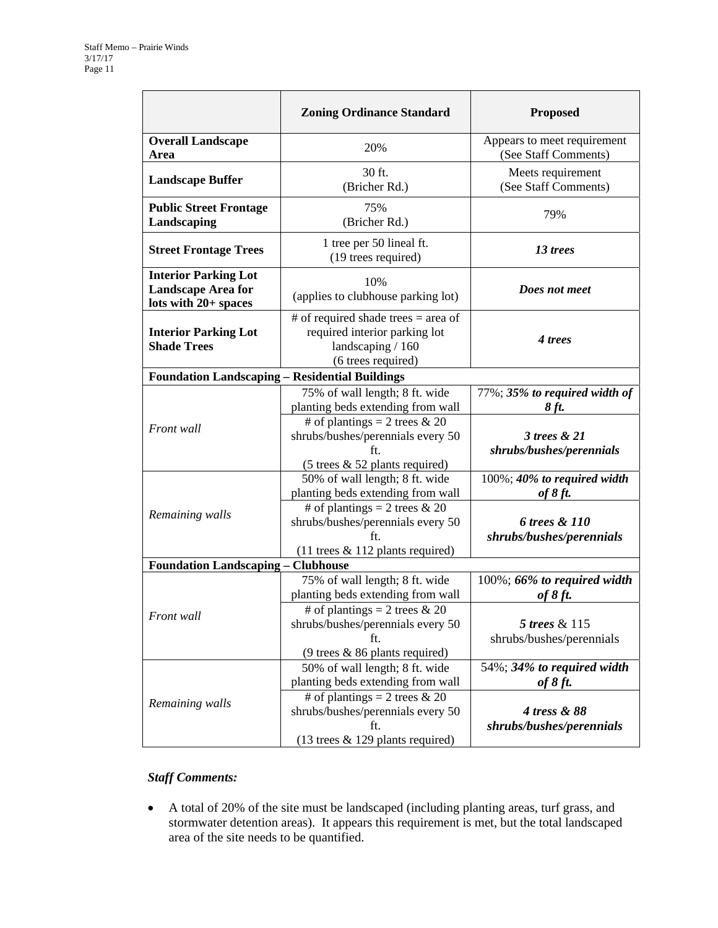|                                                                                    | <b>Zoning Ordinance Standard</b>                                                                                  | <b>Proposed</b>                                     |  |
|------------------------------------------------------------------------------------|-------------------------------------------------------------------------------------------------------------------|-----------------------------------------------------|--|
| <b>Overall Landscape</b><br>Area                                                   | 20%                                                                                                               | Appears to meet requirement<br>(See Staff Comments) |  |
| <b>Landscape Buffer</b>                                                            | 30 ft.<br>(Bricher Rd.)                                                                                           | Meets requirement<br>(See Staff Comments)           |  |
| <b>Public Street Frontage</b><br>Landscaping                                       | 75%<br>(Bricher Rd.)                                                                                              | 79%                                                 |  |
| <b>Street Frontage Trees</b>                                                       | 1 tree per 50 lineal ft.<br>(19 trees required)                                                                   | 13 trees                                            |  |
| <b>Interior Parking Lot</b><br><b>Landscape Area for</b><br>lots with $20+$ spaces | 10%<br>(applies to clubhouse parking lot)                                                                         | Does not meet                                       |  |
| <b>Interior Parking Lot</b><br><b>Shade Trees</b>                                  | # of required shade trees $=$ area of<br>required interior parking lot<br>landscaping / 160<br>(6 trees required) | 4 trees                                             |  |
| <b>Foundation Landscaping - Residential Buildings</b>                              |                                                                                                                   |                                                     |  |
|                                                                                    | 75% of wall length; 8 ft. wide<br>planting beds extending from wall                                               | 77%; 35% to required width of<br>8 ft.              |  |
| Front wall                                                                         | # of plantings = 2 trees $& 20$<br>shrubs/bushes/perennials every 50<br>ft.<br>(5 trees & 52 plants required)     | 3 trees & 21<br>shrubs/bushes/perennials            |  |
|                                                                                    | 50% of wall length; 8 ft. wide<br>planting beds extending from wall<br># of plantings = 2 trees $& 20$            | $100\%$ ; 40% to required width<br>of $8$ ft.       |  |
| Remaining walls                                                                    | shrubs/bushes/perennials every 50<br>ft.<br>$(11$ trees & 112 plants required)                                    | 6 trees & 110<br>shrubs/bushes/perennials           |  |
| <b>Foundation Landscaping - Clubhouse</b>                                          |                                                                                                                   |                                                     |  |
| Front wall                                                                         | 75% of wall length; 8 ft. wide<br>planting beds extending from wall                                               | 100%; 66% to required width<br>of $8$ ft.           |  |
|                                                                                    | # of plantings = 2 trees & 20<br>shrubs/bushes/perennials every 50<br>ft<br>(9 trees $& 86$ plants required)      | 5 trees & 115<br>shrubs/bushes/perennials           |  |
| Remaining walls                                                                    | 50% of wall length; 8 ft. wide<br>planting beds extending from wall                                               | 54%; 34% to required width<br>of $8$ ft.            |  |
|                                                                                    | # of plantings = 2 trees $& 20$<br>shrubs/bushes/perennials every 50<br>ft.<br>$(13$ trees & 129 plants required) | 4 tress & 88<br>shrubs/bushes/perennials            |  |

#### *Staff Comments:*

 A total of 20% of the site must be landscaped (including planting areas, turf grass, and stormwater detention areas). It appears this requirement is met, but the total landscaped area of the site needs to be quantified.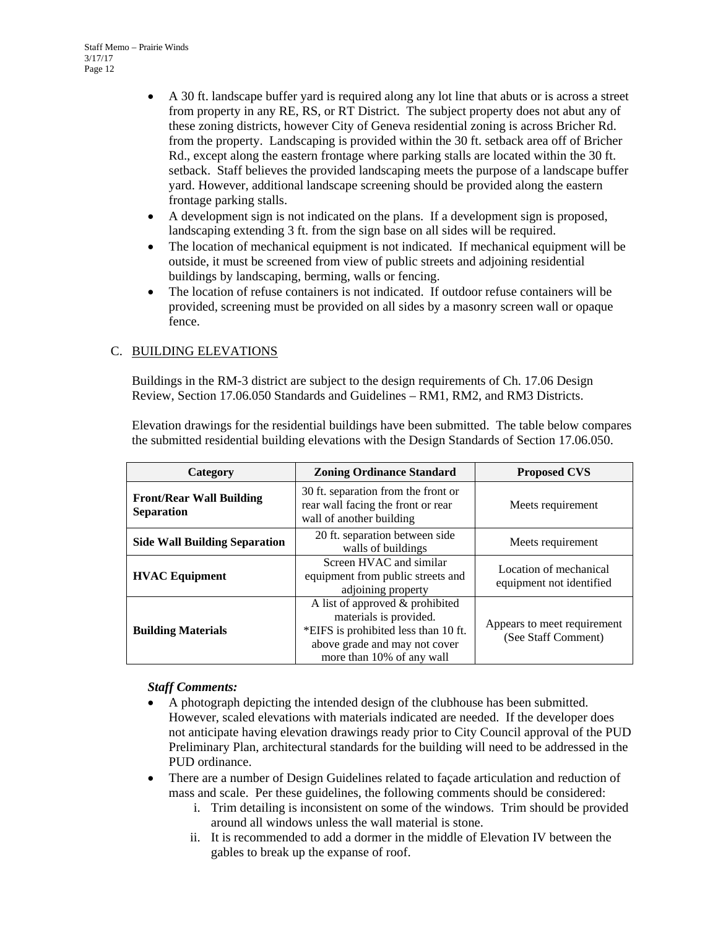- A 30 ft. landscape buffer yard is required along any lot line that abuts or is across a street from property in any RE, RS, or RT District. The subject property does not abut any of these zoning districts, however City of Geneva residential zoning is across Bricher Rd. from the property. Landscaping is provided within the 30 ft. setback area off of Bricher Rd., except along the eastern frontage where parking stalls are located within the 30 ft. setback. Staff believes the provided landscaping meets the purpose of a landscape buffer yard. However, additional landscape screening should be provided along the eastern frontage parking stalls.
- A development sign is not indicated on the plans. If a development sign is proposed, landscaping extending 3 ft. from the sign base on all sides will be required.
- The location of mechanical equipment is not indicated. If mechanical equipment will be outside, it must be screened from view of public streets and adjoining residential buildings by landscaping, berming, walls or fencing.
- The location of refuse containers is not indicated. If outdoor refuse containers will be provided, screening must be provided on all sides by a masonry screen wall or opaque fence.

#### C. BUILDING ELEVATIONS

Buildings in the RM-3 district are subject to the design requirements of Ch. 17.06 Design Review, Section 17.06.050 Standards and Guidelines – RM1, RM2, and RM3 Districts.

Elevation drawings for the residential buildings have been submitted. The table below compares the submitted residential building elevations with the Design Standards of Section 17.06.050.

| Category                                             | <b>Zoning Ordinance Standard</b>                                                                                                                                | <b>Proposed CVS</b>                                |  |
|------------------------------------------------------|-----------------------------------------------------------------------------------------------------------------------------------------------------------------|----------------------------------------------------|--|
| <b>Front/Rear Wall Building</b><br><b>Separation</b> | 30 ft. separation from the front or<br>rear wall facing the front or rear<br>wall of another building                                                           | Meets requirement                                  |  |
| <b>Side Wall Building Separation</b>                 | 20 ft. separation between side<br>walls of buildings                                                                                                            | Meets requirement                                  |  |
| <b>HVAC Equipment</b>                                | Screen HVAC and similar<br>equipment from public streets and<br>adjoining property                                                                              | Location of mechanical<br>equipment not identified |  |
| <b>Building Materials</b>                            | A list of approved & prohibited<br>materials is provided.<br>*EIFS is prohibited less than 10 ft.<br>above grade and may not cover<br>more than 10% of any wall | Appears to meet requirement<br>(See Staff Comment) |  |

#### *Staff Comments:*

- A photograph depicting the intended design of the clubhouse has been submitted. However, scaled elevations with materials indicated are needed. If the developer does not anticipate having elevation drawings ready prior to City Council approval of the PUD Preliminary Plan, architectural standards for the building will need to be addressed in the PUD ordinance.
- There are a number of Design Guidelines related to façade articulation and reduction of mass and scale. Per these guidelines, the following comments should be considered:
	- i. Trim detailing is inconsistent on some of the windows. Trim should be provided around all windows unless the wall material is stone.
	- ii. It is recommended to add a dormer in the middle of Elevation IV between the gables to break up the expanse of roof.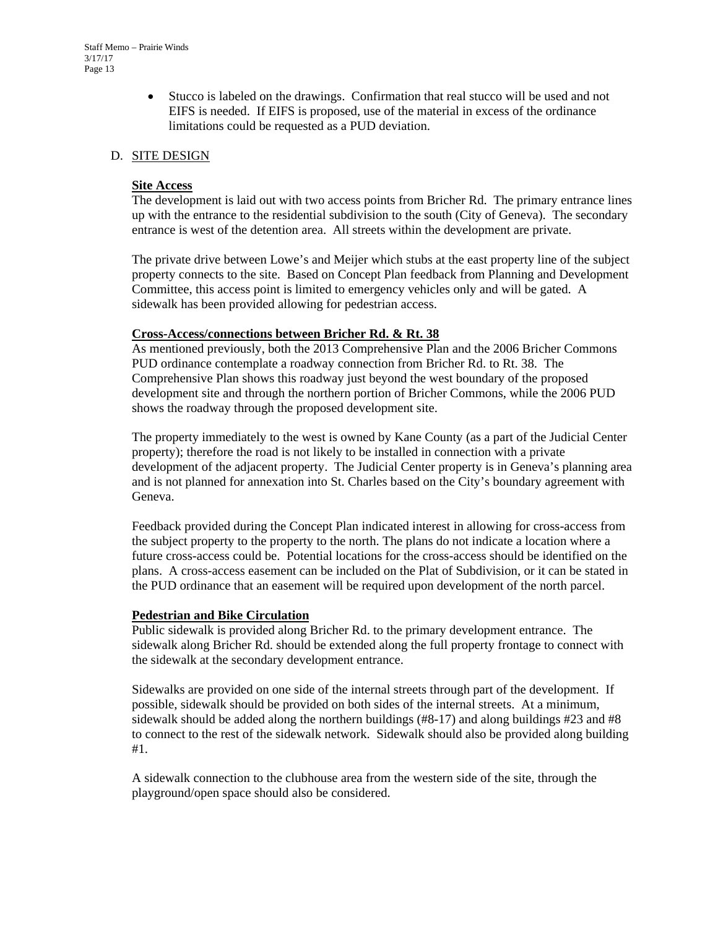Stucco is labeled on the drawings. Confirmation that real stucco will be used and not EIFS is needed. If EIFS is proposed, use of the material in excess of the ordinance limitations could be requested as a PUD deviation.

#### D. SITE DESIGN

#### **Site Access**

The development is laid out with two access points from Bricher Rd. The primary entrance lines up with the entrance to the residential subdivision to the south (City of Geneva). The secondary entrance is west of the detention area. All streets within the development are private.

The private drive between Lowe's and Meijer which stubs at the east property line of the subject property connects to the site. Based on Concept Plan feedback from Planning and Development Committee, this access point is limited to emergency vehicles only and will be gated. A sidewalk has been provided allowing for pedestrian access.

#### **Cross-Access/connections between Bricher Rd. & Rt. 38**

As mentioned previously, both the 2013 Comprehensive Plan and the 2006 Bricher Commons PUD ordinance contemplate a roadway connection from Bricher Rd. to Rt. 38. The Comprehensive Plan shows this roadway just beyond the west boundary of the proposed development site and through the northern portion of Bricher Commons, while the 2006 PUD shows the roadway through the proposed development site.

The property immediately to the west is owned by Kane County (as a part of the Judicial Center property); therefore the road is not likely to be installed in connection with a private development of the adjacent property. The Judicial Center property is in Geneva's planning area and is not planned for annexation into St. Charles based on the City's boundary agreement with Geneva.

Feedback provided during the Concept Plan indicated interest in allowing for cross-access from the subject property to the property to the north. The plans do not indicate a location where a future cross-access could be. Potential locations for the cross-access should be identified on the plans. A cross-access easement can be included on the Plat of Subdivision, or it can be stated in the PUD ordinance that an easement will be required upon development of the north parcel.

#### **Pedestrian and Bike Circulation**

Public sidewalk is provided along Bricher Rd. to the primary development entrance. The sidewalk along Bricher Rd. should be extended along the full property frontage to connect with the sidewalk at the secondary development entrance.

Sidewalks are provided on one side of the internal streets through part of the development. If possible, sidewalk should be provided on both sides of the internal streets. At a minimum, sidewalk should be added along the northern buildings (#8-17) and along buildings #23 and #8 to connect to the rest of the sidewalk network. Sidewalk should also be provided along building #1.

A sidewalk connection to the clubhouse area from the western side of the site, through the playground/open space should also be considered.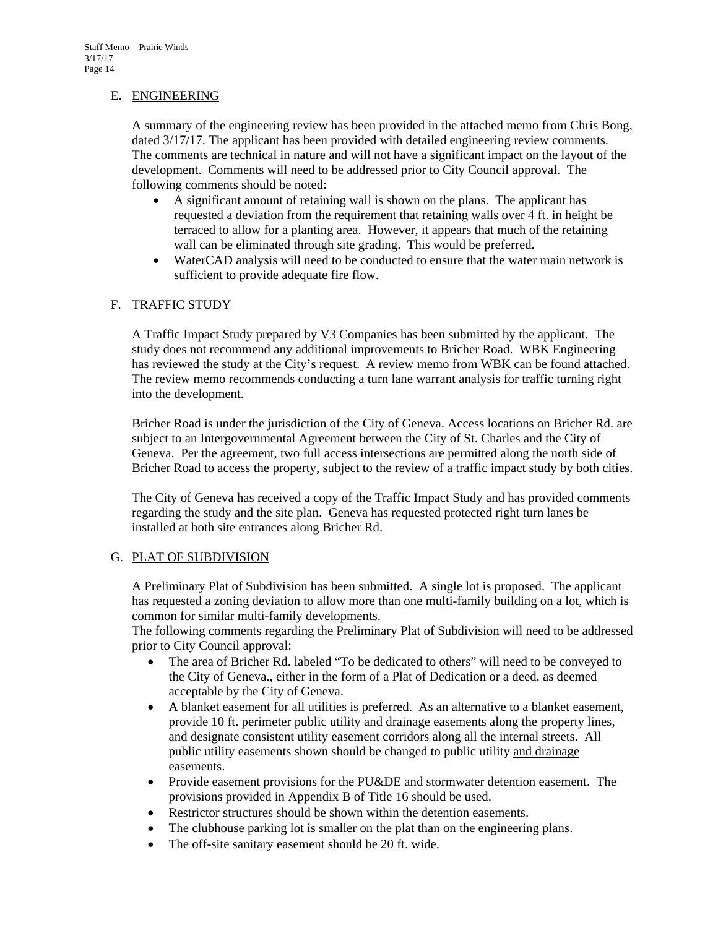#### E. ENGINEERING

A summary of the engineering review has been provided in the attached memo from Chris Bong, dated 3/17/17. The applicant has been provided with detailed engineering review comments. The comments are technical in nature and will not have a significant impact on the layout of the development. Comments will need to be addressed prior to City Council approval. The following comments should be noted:

- A significant amount of retaining wall is shown on the plans. The applicant has requested a deviation from the requirement that retaining walls over 4 ft. in height be terraced to allow for a planting area. However, it appears that much of the retaining wall can be eliminated through site grading. This would be preferred.
- WaterCAD analysis will need to be conducted to ensure that the water main network is sufficient to provide adequate fire flow.

#### F. TRAFFIC STUDY

A Traffic Impact Study prepared by V3 Companies has been submitted by the applicant. The study does not recommend any additional improvements to Bricher Road. WBK Engineering has reviewed the study at the City's request. A review memo from WBK can be found attached. The review memo recommends conducting a turn lane warrant analysis for traffic turning right into the development.

Bricher Road is under the jurisdiction of the City of Geneva. Access locations on Bricher Rd. are subject to an Intergovernmental Agreement between the City of St. Charles and the City of Geneva. Per the agreement, two full access intersections are permitted along the north side of Bricher Road to access the property, subject to the review of a traffic impact study by both cities.

The City of Geneva has received a copy of the Traffic Impact Study and has provided comments regarding the study and the site plan. Geneva has requested protected right turn lanes be installed at both site entrances along Bricher Rd.

#### G. PLAT OF SUBDIVISION

A Preliminary Plat of Subdivision has been submitted. A single lot is proposed. The applicant has requested a zoning deviation to allow more than one multi-family building on a lot, which is common for similar multi-family developments.

The following comments regarding the Preliminary Plat of Subdivision will need to be addressed prior to City Council approval:

- The area of Bricher Rd. labeled "To be dedicated to others" will need to be conveyed to the City of Geneva., either in the form of a Plat of Dedication or a deed, as deemed acceptable by the City of Geneva.
- A blanket easement for all utilities is preferred. As an alternative to a blanket easement, provide 10 ft. perimeter public utility and drainage easements along the property lines, and designate consistent utility easement corridors along all the internal streets. All public utility easements shown should be changed to public utility and drainage easements.
- Provide easement provisions for the PU&DE and stormwater detention easement. The provisions provided in Appendix B of Title 16 should be used.
- Restrictor structures should be shown within the detention easements.
- The clubhouse parking lot is smaller on the plat than on the engineering plans.
- The off-site sanitary easement should be 20 ft. wide.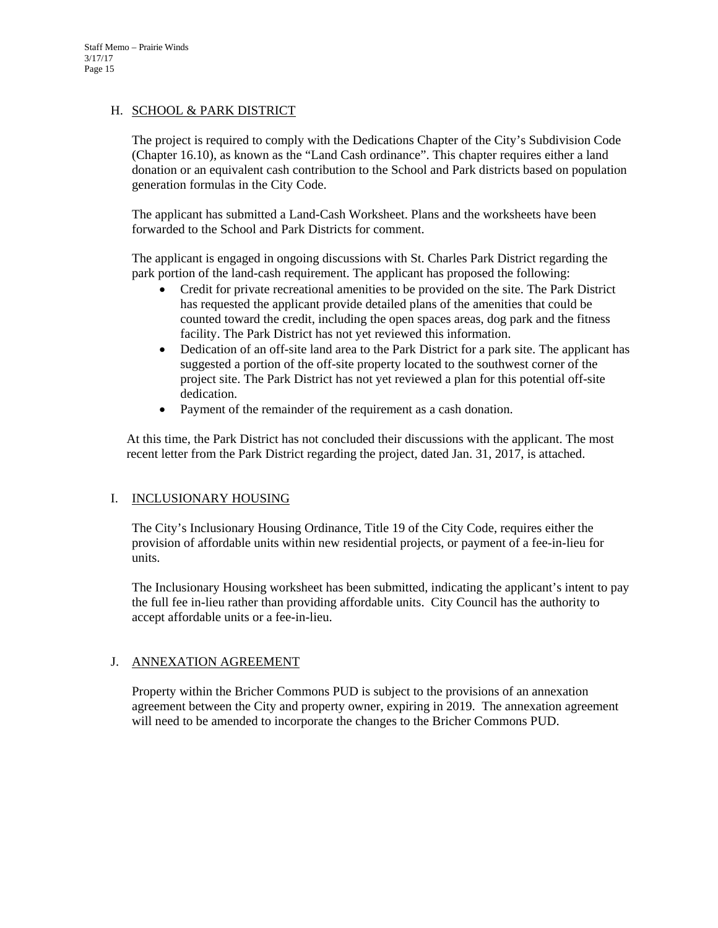#### H. SCHOOL & PARK DISTRICT

The project is required to comply with the Dedications Chapter of the City's Subdivision Code (Chapter 16.10), as known as the "Land Cash ordinance". This chapter requires either a land donation or an equivalent cash contribution to the School and Park districts based on population generation formulas in the City Code.

The applicant has submitted a Land-Cash Worksheet. Plans and the worksheets have been forwarded to the School and Park Districts for comment.

The applicant is engaged in ongoing discussions with St. Charles Park District regarding the park portion of the land-cash requirement. The applicant has proposed the following:

- Credit for private recreational amenities to be provided on the site. The Park District has requested the applicant provide detailed plans of the amenities that could be counted toward the credit, including the open spaces areas, dog park and the fitness facility. The Park District has not yet reviewed this information.
- Dedication of an off-site land area to the Park District for a park site. The applicant has suggested a portion of the off-site property located to the southwest corner of the project site. The Park District has not yet reviewed a plan for this potential off-site dedication.
- Payment of the remainder of the requirement as a cash donation.

At this time, the Park District has not concluded their discussions with the applicant. The most recent letter from the Park District regarding the project, dated Jan. 31, 2017, is attached.

#### I. INCLUSIONARY HOUSING

The City's Inclusionary Housing Ordinance, Title 19 of the City Code, requires either the provision of affordable units within new residential projects, or payment of a fee-in-lieu for units.

The Inclusionary Housing worksheet has been submitted, indicating the applicant's intent to pay the full fee in-lieu rather than providing affordable units. City Council has the authority to accept affordable units or a fee-in-lieu.

#### J. ANNEXATION AGREEMENT

Property within the Bricher Commons PUD is subject to the provisions of an annexation agreement between the City and property owner, expiring in 2019. The annexation agreement will need to be amended to incorporate the changes to the Bricher Commons PUD.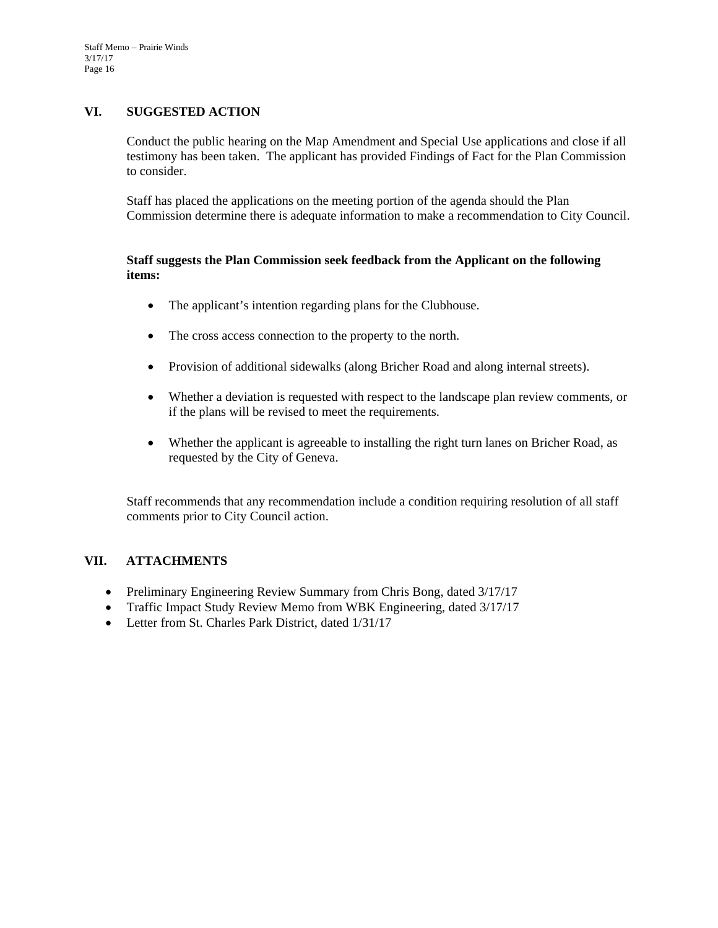#### **VI. SUGGESTED ACTION**

Conduct the public hearing on the Map Amendment and Special Use applications and close if all testimony has been taken. The applicant has provided Findings of Fact for the Plan Commission to consider.

Staff has placed the applications on the meeting portion of the agenda should the Plan Commission determine there is adequate information to make a recommendation to City Council.

#### **Staff suggests the Plan Commission seek feedback from the Applicant on the following items:**

- The applicant's intention regarding plans for the Clubhouse.
- The cross access connection to the property to the north.
- Provision of additional sidewalks (along Bricher Road and along internal streets).
- Whether a deviation is requested with respect to the landscape plan review comments, or if the plans will be revised to meet the requirements.
- Whether the applicant is agreeable to installing the right turn lanes on Bricher Road, as requested by the City of Geneva.

Staff recommends that any recommendation include a condition requiring resolution of all staff comments prior to City Council action.

#### **VII. ATTACHMENTS**

- Preliminary Engineering Review Summary from Chris Bong, dated 3/17/17
- Traffic Impact Study Review Memo from WBK Engineering, dated 3/17/17
- Letter from St. Charles Park District, dated  $1/31/17$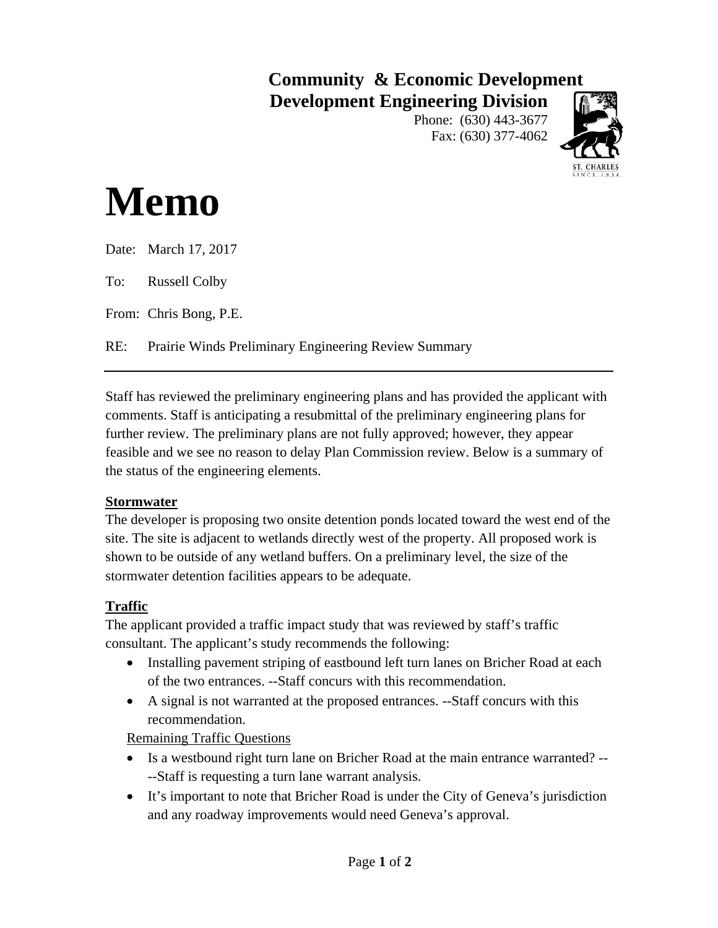# **Community & Economic Development Development Engineering Division**

Phone: (630) 443-3677 Fax: (630) 377-4062



# **Memo**

| Date: March 17, 2017                                     |
|----------------------------------------------------------|
| To: Russell Colby                                        |
| From: Chris Bong, P.E.                                   |
| RE: Prairie Winds Preliminary Engineering Review Summary |
|                                                          |

Staff has reviewed the preliminary engineering plans and has provided the applicant with comments. Staff is anticipating a resubmittal of the preliminary engineering plans for further review. The preliminary plans are not fully approved; however, they appear feasible and we see no reason to delay Plan Commission review. Below is a summary of the status of the engineering elements.

# **Stormwater**

The developer is proposing two onsite detention ponds located toward the west end of the site. The site is adjacent to wetlands directly west of the property. All proposed work is shown to be outside of any wetland buffers. On a preliminary level, the size of the stormwater detention facilities appears to be adequate.

# **Traffic**

The applicant provided a traffic impact study that was reviewed by staff's traffic consultant. The applicant's study recommends the following:

- Installing pavement striping of eastbound left turn lanes on Bricher Road at each of the two entrances. --Staff concurs with this recommendation.
- A signal is not warranted at the proposed entrances. --Staff concurs with this recommendation.

Remaining Traffic Questions

- Is a westbound right turn lane on Bricher Road at the main entrance warranted? ----Staff is requesting a turn lane warrant analysis.
- It's important to note that Bricher Road is under the City of Geneva's jurisdiction and any roadway improvements would need Geneva's approval.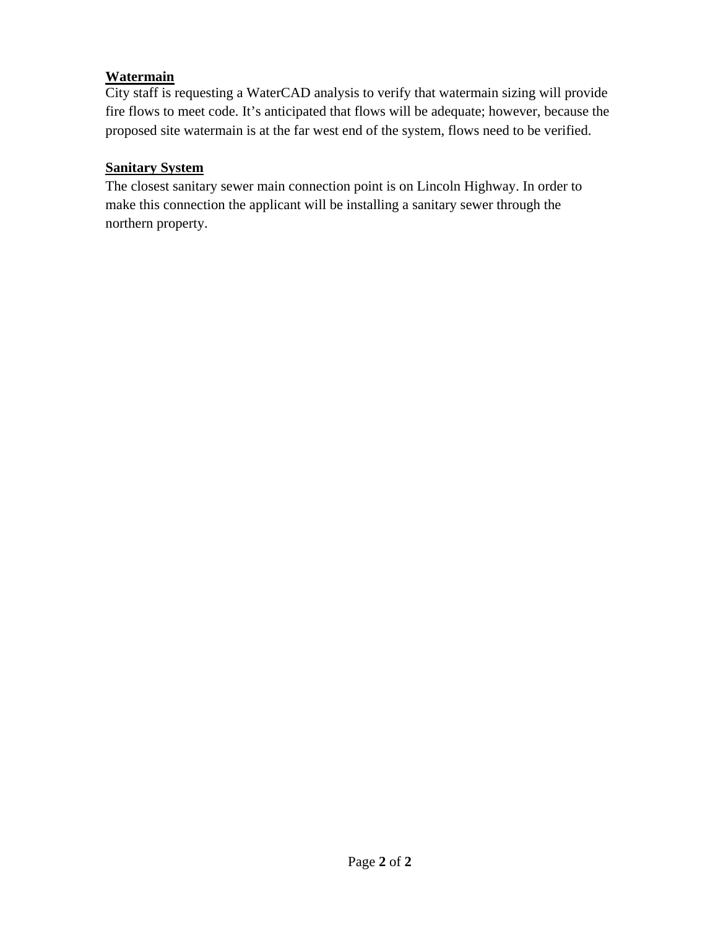# **Watermain**

City staff is requesting a WaterCAD analysis to verify that watermain sizing will provide fire flows to meet code. It's anticipated that flows will be adequate; however, because the proposed site watermain is at the far west end of the system, flows need to be verified.

# **Sanitary System**

The closest sanitary sewer main connection point is on Lincoln Highway. In order to make this connection the applicant will be installing a sanitary sewer through the northern property.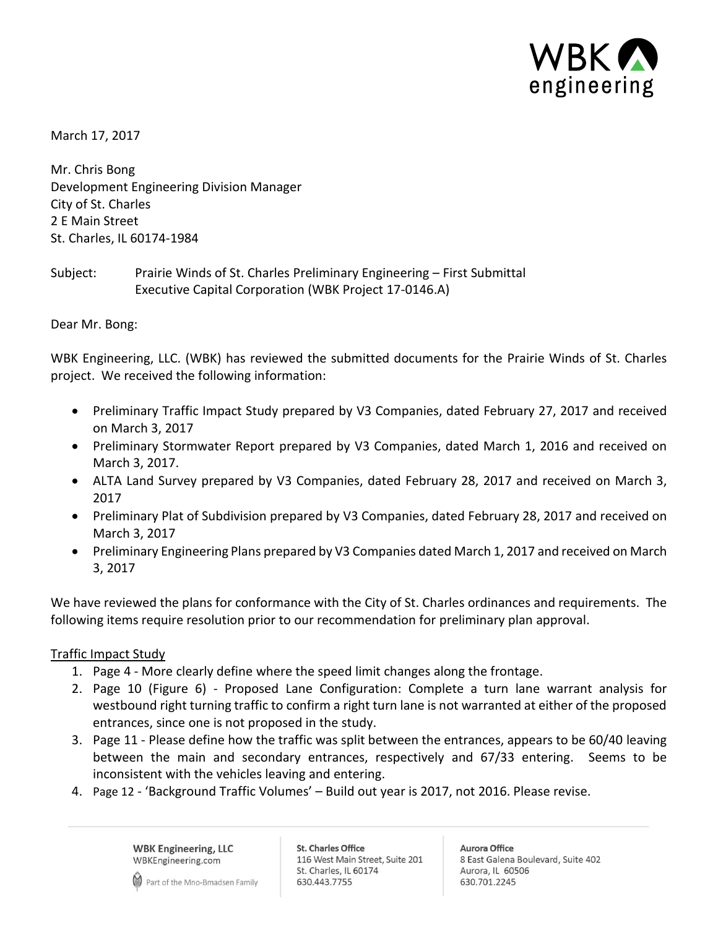

March 17, 2017

Mr. Chris Bong Development Engineering Division Manager City of St. Charles 2 E Main Street St. Charles, IL 60174-1984

Subject: Prairie Winds of St. Charles Preliminary Engineering – First Submittal Executive Capital Corporation (WBK Project 17-0146.A)

Dear Mr. Bong:

WBK Engineering, LLC. (WBK) has reviewed the submitted documents for the Prairie Winds of St. Charles project. We received the following information:

- Preliminary Traffic Impact Study prepared by V3 Companies, dated February 27, 2017 and received on March 3, 2017
- Preliminary Stormwater Report prepared by V3 Companies, dated March 1, 2016 and received on March 3, 2017.
- ALTA Land Survey prepared by V3 Companies, dated February 28, 2017 and received on March 3, 2017
- Preliminary Plat of Subdivision prepared by V3 Companies, dated February 28, 2017 and received on March 3, 2017
- Preliminary Engineering Plans prepared by V3 Companies dated March 1, 2017 and received on March 3, 2017

We have reviewed the plans for conformance with the City of St. Charles ordinances and requirements. The following items require resolution prior to our recommendation for preliminary plan approval.

## Traffic Impact Study

- 1. Page 4 More clearly define where the speed limit changes along the frontage.
- 2. Page 10 (Figure 6) Proposed Lane Configuration: Complete a turn lane warrant analysis for westbound right turning traffic to confirm a right turn lane is not warranted at either of the proposed entrances, since one is not proposed in the study.
- 3. Page 11 Please define how the traffic was split between the entrances, appears to be 60/40 leaving between the main and secondary entrances, respectively and 67/33 entering. Seems to be inconsistent with the vehicles leaving and entering.
- 4. Page 12 'Background Traffic Volumes' Build out year is 2017, not 2016. Please revise.

**WBK Engineering, LLC** WBKEngineering.com

Part of the Mno-Bmadsen Family

**St. Charles Office** 116 West Main Street, Suite 201 St. Charles, IL 60174 630.443.7755

**Aurora Office** 8 East Galena Boulevard, Suite 402 Aurora, IL 60506 630.701.2245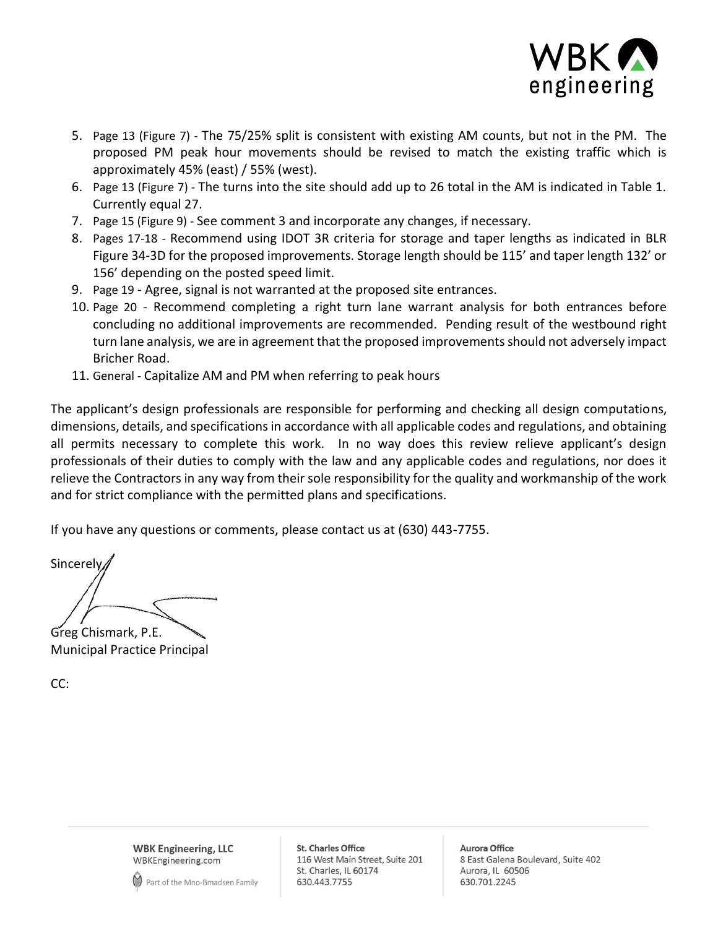

- 5. Page 13 (Figure 7) The 75/25% split is consistent with existing AM counts, but not in the PM. The proposed PM peak hour movements should be revised to match the existing traffic which is approximately 45% (east) / 55% (west).
- 6. Page 13 (Figure 7) The turns into the site should add up to 26 total in the AM is indicated in Table 1. Currently equal 27.
- 7. Page 15 (Figure 9) See comment 3 and incorporate any changes, if necessary.
- 8. Pages 17-18 Recommend using IDOT 3R criteria for storage and taper lengths as indicated in BLR Figure 34-3D for the proposed improvements. Storage length should be 115' and taper length 132' or 156' depending on the posted speed limit.
- 9. Page 19 Agree, signal is not warranted at the proposed site entrances.
- 10. Page 20 Recommend completing a right turn lane warrant analysis for both entrances before concluding no additional improvements are recommended. Pending result of the westbound right turn lane analysis, we are in agreement that the proposed improvements should not adversely impact Bricher Road.
- 11. General Capitalize AM and PM when referring to peak hours

The applicant's design professionals are responsible for performing and checking all design computations, dimensions, details, and specifications in accordance with all applicable codes and regulations, and obtaining all permits necessary to complete this work. In no way does this review relieve applicant's design professionals of their duties to comply with the law and any applicable codes and regulations, nor does it relieve the Contractors in any way from their sole responsibility for the quality and workmanship of the work and for strict compliance with the permitted plans and specifications.

If you have any questions or comments, please contact us at (630) 443-7755.

**Sincerely** Greg Chismark, P.E.

Municipal Practice Principal

CC:

**WBK Engineering, LLC** WBKEngineering.com



**St. Charles Office** 116 West Main Street, Suite 201 St. Charles, IL 60174 630.443.7755

**Aurora Office** 8 East Galena Boulevard, Suite 402 Aurora, IL 60506 630.701.2245